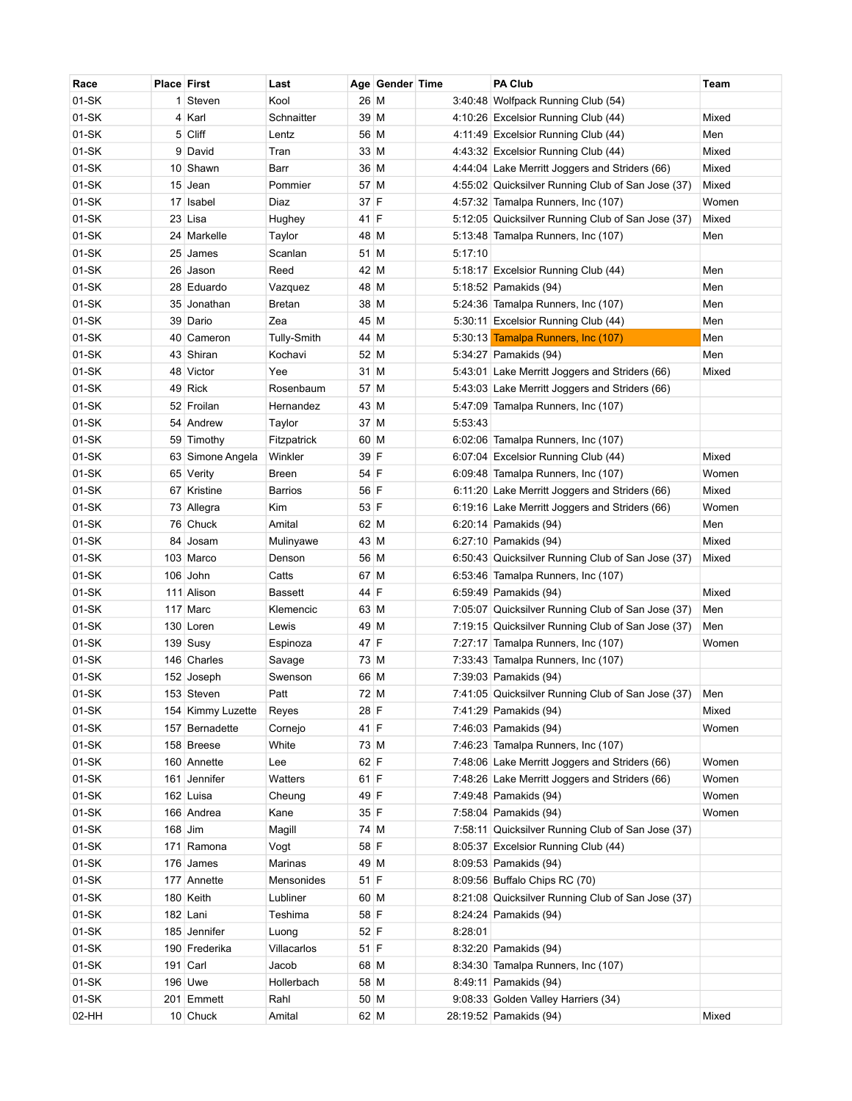| Race    | <b>Place First</b> |                    | Last           |      | Age Gender Time |         | <b>PA Club</b>                                    | Team  |
|---------|--------------------|--------------------|----------------|------|-----------------|---------|---------------------------------------------------|-------|
| 01-SK   |                    | 1 Steven           | Kool           | 26 M |                 |         | 3:40:48 Wolfpack Running Club (54)                |       |
| $01-SK$ |                    | 4 Karl             | Schnaitter     | 39 M |                 |         | 4:10:26 Excelsior Running Club (44)               | Mixed |
| 01-SK   |                    | 5 Cliff            | Lentz          | 56 M |                 |         | 4:11:49 Excelsior Running Club (44)               | Men   |
| 01-SK   |                    | 9 David            | Tran           | 33 M |                 |         | 4:43:32 Excelsior Running Club (44)               | Mixed |
| 01-SK   |                    | 10 Shawn           | Barr           | 36 M |                 |         | 4:44:04 Lake Merritt Joggers and Striders (66)    | Mixed |
| $01-SK$ |                    | 15 Jean            | Pommier        | 57 M |                 |         | 4:55:02 Quicksilver Running Club of San Jose (37) | Mixed |
| $01-SK$ |                    | 17 Isabel          | Diaz           | 37 F |                 |         | 4:57:32 Tamalpa Runners, Inc (107)                | Women |
| $01-SK$ |                    | 23 Lisa            | Hughey         | 41 F |                 |         | 5:12:05 Quicksilver Running Club of San Jose (37) | Mixed |
| 01-SK   |                    | 24 Markelle        | Taylor         | 48 M |                 |         | 5:13:48 Tamalpa Runners, Inc (107)                | Men   |
| 01-SK   |                    | 25 James           | Scanlan        | 51 M |                 | 5:17:10 |                                                   |       |
| 01-SK   |                    | 26 Jason           | Reed           | 42 M |                 |         | 5:18:17 Excelsior Running Club (44)               | Men   |
| $01-SK$ |                    | 28 Eduardo         | Vazquez        | 48 M |                 |         | 5:18:52 Pamakids (94)                             | Men   |
| $01-SK$ |                    | 35 Jonathan        | <b>Bretan</b>  | 38 M |                 |         | 5:24:36 Tamalpa Runners, Inc (107)                | Men   |
| $01-SK$ |                    | 39 Dario           | Zea            | 45 M |                 |         | 5:30:11 Excelsior Running Club (44)               | Men   |
| 01-SK   |                    | 40 Cameron         | Tully-Smith    | 44 M |                 |         | 5:30:13 <b>Tamalpa Runners, Inc (107)</b>         | Men   |
| $01-SK$ |                    | 43 Shiran          | Kochavi        | 52 M |                 |         | 5:34:27 Pamakids (94)                             | Men   |
| 01-SK   |                    | 48 Victor          | Yee            | 31 M |                 |         | 5:43:01 Lake Merritt Joggers and Striders (66)    | Mixed |
| 01-SK   |                    | 49 Rick            | Rosenbaum      | 57 M |                 |         | 5:43:03 Lake Merritt Joggers and Striders (66)    |       |
| $01-SK$ |                    | 52 Froilan         | Hernandez      | 43 M |                 |         | 5:47:09 Tamalpa Runners, Inc (107)                |       |
| 01-SK   |                    | 54 Andrew          | Taylor         | 37 M |                 | 5:53:43 |                                                   |       |
| $01-SK$ |                    | 59 Timothy         | Fitzpatrick    | 60 M |                 |         | 6:02:06 Tamalpa Runners, Inc (107)                |       |
| $01-SK$ |                    | 63 Simone Angela   | Winkler        | 39 F |                 |         | 6:07:04 Excelsior Running Club (44)               | Mixed |
| 01-SK   |                    | 65 Verity          | <b>Breen</b>   | 54 F |                 |         | 6:09:48 Tamalpa Runners, Inc (107)                | Women |
| 01-SK   |                    | 67 Kristine        | <b>Barrios</b> | 56 F |                 |         | 6:11:20 Lake Merritt Joggers and Striders (66)    | Mixed |
| 01-SK   |                    | 73 Allegra         | Kim            | 53 F |                 |         | 6:19:16 Lake Merritt Joggers and Striders (66)    | Women |
| 01-SK   |                    | 76 Chuck           | Amital         | 62 M |                 |         | 6:20:14 Pamakids (94)                             | Men   |
| 01-SK   |                    | 84 Josam           | Mulinyawe      | 43 M |                 |         | 6:27:10 Pamakids (94)                             | Mixed |
| 01-SK   |                    | 103 Marco          | Denson         | 56 M |                 |         | 6:50:43 Quicksilver Running Club of San Jose (37) | Mixed |
| 01-SK   |                    | 106 John           | Catts          | 67 M |                 |         | 6:53:46 Tamalpa Runners, Inc (107)                |       |
| 01-SK   |                    | 111 Alison         | <b>Bassett</b> | 44 F |                 |         | 6:59:49 Pamakids (94)                             | Mixed |
| 01-SK   |                    | 117 Marc           | Klemencic      | 63 M |                 |         | 7:05:07 Quicksilver Running Club of San Jose (37) | Men   |
| 01-SK   |                    | 130 Loren          | Lewis          | 49 M |                 |         | 7:19:15 Quicksilver Running Club of San Jose (37) | Men   |
| 01-SK   |                    | $139$ Susy         | Espinoza       | 47 F |                 |         | 7:27:17 Tamalpa Runners, Inc (107)                | Women |
| 01-SK   |                    | 146 Charles        | Savage         | 73 M |                 |         | 7:33:43 Tamalpa Runners, Inc (107)                |       |
| 01-SK   |                    | 152 Joseph         | Swenson        | 66 M |                 |         | 7:39:03 Pamakids (94)                             |       |
| 01-SK   |                    | 153 Steven         | Patt           | 72 M |                 |         | 7:41:05 Quicksilver Running Club of San Jose (37) | Men   |
| 01-SK   |                    | 154 Kimmy Luzette  | Reyes          | 28 F |                 |         | 7:41:29 Pamakids (94)                             | Mixed |
| $01-SK$ |                    | 157 Bernadette     | Cornejo        | 41 F |                 |         | 7:46:03 Pamakids (94)                             | Women |
| $01-SK$ |                    | 158 Breese         | White          | 73 M |                 |         | 7:46:23 Tamalpa Runners, Inc (107)                |       |
| $01-SK$ |                    | 160 Annette        | Lee            | 62 F |                 |         | 7:48:06 Lake Merritt Joggers and Striders (66)    | Women |
| $01-SK$ |                    | 161 Jennifer       | Watters        | 61 F |                 |         | 7:48:26 Lake Merritt Joggers and Striders (66)    | Women |
| $01-SK$ |                    | 162 Luisa          | Cheung         | 49 F |                 |         | 7:49:48 Pamakids (94)                             | Women |
| 01-SK   |                    | 166 Andrea         | Kane           | 35 F |                 |         | 7:58:04 Pamakids (94)                             | Women |
| 01-SK   | $168$ Jim          |                    | Magill         | 74 M |                 |         | 7:58:11 Quicksilver Running Club of San Jose (37) |       |
| 01-SK   |                    | 171 Ramona         | Vogt           | 58 F |                 |         | 8:05:37 Excelsior Running Club (44)               |       |
| 01-SK   |                    | 176 James          | Marinas        | 49 M |                 |         | 8:09:53 Pamakids (94)                             |       |
| 01-SK   |                    | 177 Annette        | Mensonides     | 51 F |                 |         | 8:09:56 Buffalo Chips RC (70)                     |       |
| 01-SK   |                    | $180$ Keith        | Lubliner       | 60 M |                 |         | 8:21:08 Quicksilver Running Club of San Jose (37) |       |
| 01-SK   |                    | 182 Lani           | Teshima        | 58 F |                 |         | 8:24:24 Pamakids (94)                             |       |
| 01-SK   |                    | 185 Jennifer       | Luong          | 52 F |                 | 8:28:01 |                                                   |       |
| 01-SK   |                    | 190 Frederika      | Villacarlos    | 51 F |                 |         | 8:32:20 Pamakids (94)                             |       |
| 01-SK   |                    | 191 $\lfloor$ Carl | Jacob          | 68 M |                 |         | 8:34:30 Tamalpa Runners, Inc (107)                |       |
| 01-SK   |                    | 196 Uwe            | Hollerbach     | 58 M |                 |         | 8:49:11 Pamakids (94)                             |       |
| $01-SK$ |                    | 201 Emmett         | Rahl           | 50 M |                 |         | 9:08:33 Golden Valley Harriers (34)               |       |
| 02-HH   |                    | 10 Chuck           | Amital         | 62 M |                 |         | 28:19:52 Pamakids (94)                            | Mixed |
|         |                    |                    |                |      |                 |         |                                                   |       |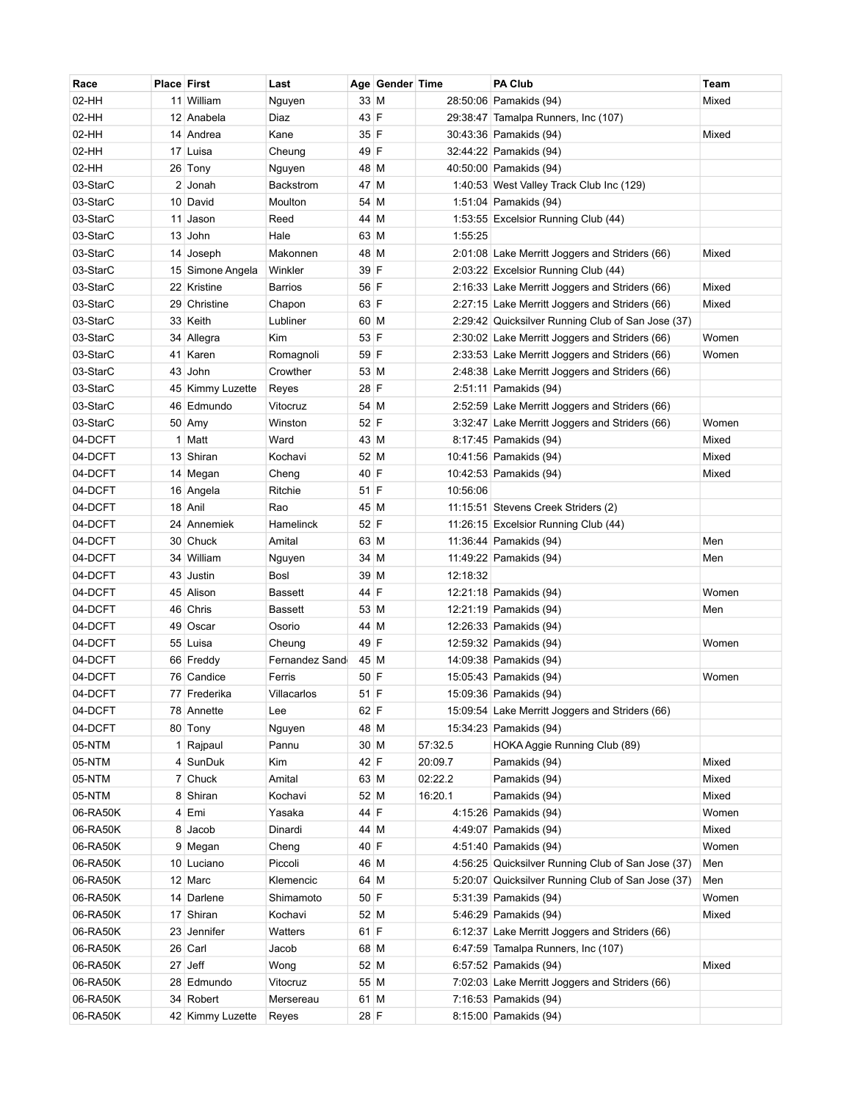| Race     | <b>Place First</b> |                  | Last             |      | Age Gender Time |          | <b>PA Club</b>                                    | Team  |
|----------|--------------------|------------------|------------------|------|-----------------|----------|---------------------------------------------------|-------|
| 02-HH    |                    | 11 William       | Nguyen           | 33 M |                 |          | 28:50:06 Pamakids (94)                            | Mixed |
| 02-HH    |                    | 12 Anabela       | Diaz             | 43 F |                 |          | 29:38:47 Tamalpa Runners, Inc (107)               |       |
| 02-HH    |                    | 14 Andrea        | Kane             | 35 F |                 |          | 30:43:36 Pamakids (94)                            | Mixed |
| 02-HH    |                    | 17 Luisa         | Cheung           | 49 F |                 |          | 32:44:22 Pamakids (94)                            |       |
| 02-HH    |                    | 26 Tony          | Nguyen           | 48 M |                 |          | 40:50:00 Pamakids (94)                            |       |
| 03-StarC |                    | 2 Jonah          | <b>Backstrom</b> | 47 M |                 |          | 1:40:53 West Valley Track Club Inc (129)          |       |
| 03-StarC |                    | 10 David         | Moulton          | 54 M |                 |          | 1:51:04 Pamakids (94)                             |       |
| 03-StarC |                    | 11 Jason         | Reed             | 44 M |                 |          | 1:53:55 Excelsior Running Club (44)               |       |
| 03-StarC |                    | 13 John          | Hale             | 63 M |                 | 1:55:25  |                                                   |       |
| 03-StarC |                    | 14 Joseph        | Makonnen         | 48 M |                 |          | 2:01:08 Lake Merritt Joggers and Striders (66)    | Mixed |
| 03-StarC |                    | 15 Simone Angela | Winkler          | 39 F |                 |          | 2:03:22 Excelsior Running Club (44)               |       |
| 03-StarC |                    | 22 Kristine      | Barrios          | 56 F |                 |          | 2:16:33 Lake Merritt Joggers and Striders (66)    | Mixed |
| 03-StarC |                    | 29 Christine     | Chapon           | 63 F |                 |          | 2:27:15 Lake Merritt Joggers and Striders (66)    | Mixed |
| 03-StarC |                    | 33 Keith         | Lubliner         | 60 M |                 |          | 2:29:42 Quicksilver Running Club of San Jose (37) |       |
| 03-StarC |                    | 34 Allegra       | Kim              | 53 F |                 |          | 2:30:02 Lake Merritt Joggers and Striders (66)    | Women |
| 03-StarC |                    | 41 Karen         | Romagnoli        | 59 F |                 |          | 2:33:53 Lake Merritt Joggers and Striders (66)    | Women |
| 03-StarC |                    | 43 John          | Crowther         | 53 M |                 |          | 2:48:38 Lake Merritt Joggers and Striders (66)    |       |
| 03-StarC |                    | 45 Kimmy Luzette | Reyes            | 28 F |                 |          | 2:51:11 Pamakids (94)                             |       |
| 03-StarC |                    | 46 Edmundo       | Vitocruz         | 54 M |                 |          | 2:52:59 Lake Merritt Joggers and Striders (66)    |       |
| 03-StarC |                    | $50$ Amy         | Winston          | 52 F |                 |          | 3:32:47 Lake Merritt Joggers and Striders (66)    | Women |
| 04-DCFT  |                    | 1 Matt           | Ward             | 43 M |                 |          | 8:17:45 Pamakids (94)                             | Mixed |
| 04-DCFT  |                    | 13 Shiran        | Kochavi          | 52 M |                 |          | 10:41:56 Pamakids (94)                            | Mixed |
| 04-DCFT  |                    | 14 Megan         | Cheng            | 40 F |                 |          | 10:42:53 Pamakids (94)                            | Mixed |
| 04-DCFT  |                    | 16 Angela        | Ritchie          | 51 F |                 | 10:56:06 |                                                   |       |
| 04-DCFT  |                    | 18 Anil          | Rao              | 45 M |                 |          | 11:15:51 Stevens Creek Striders (2)               |       |
| 04-DCFT  |                    | 24 Annemiek      | Hamelinck        | 52 F |                 |          | 11:26:15 Excelsior Running Club (44)              |       |
| 04-DCFT  |                    | 30 Chuck         | Amital           | 63 M |                 |          | 11:36:44 Pamakids (94)                            | Men   |
| 04-DCFT  |                    | 34 William       | Nguyen           | 34 M |                 |          | 11:49:22 Pamakids (94)                            | Men   |
| 04-DCFT  |                    | 43 Justin        | Bosl             | 39 M |                 | 12:18:32 |                                                   |       |
| 04-DCFT  |                    | 45 Alison        | Bassett          | 44 F |                 |          | 12:21:18 Pamakids (94)                            | Women |
| 04-DCFT  |                    | 46 Chris         | <b>Bassett</b>   | 53 M |                 |          | 12:21:19 Pamakids (94)                            | Men   |
| 04-DCFT  |                    | 49 Oscar         | Osorio           | 44 M |                 |          | 12:26:33 Pamakids (94)                            |       |
| 04-DCFT  |                    | 55 Luisa         | Cheung           | 49 F |                 |          | 12:59:32 Pamakids (94)                            | Women |
| 04-DCFT  |                    | 66 Freddy        | Fernandez Sand   | 45 M |                 |          | 14:09:38 Pamakids (94)                            |       |
| 04-DCFT  |                    | 76 Candice       | Ferris           | 50 F |                 |          | 15:05:43 Pamakids (94)                            | Women |
| 04-DCFT  |                    | 77 Frederika     | Villacarlos      | 51 F |                 |          | 15:09:36 Pamakids (94)                            |       |
| 04-DCFT  |                    | 78 Annette       | Lee              | 62 F |                 |          | 15:09:54 Lake Merritt Joggers and Striders (66)   |       |
| 04-DCFT  |                    | 80 Tony          | Nguyen           | 48 M |                 |          | 15:34:23 Pamakids (94)                            |       |
| 05-NTM   |                    | 1 Rajpaul        | Pannu            | 30 M |                 | 57:32.5  | HOKA Aggie Running Club (89)                      |       |
| 05-NTM   |                    | 4 SunDuk         | Kim              | 42 F |                 | 20:09.7  | Pamakids (94)                                     | Mixed |
| 05-NTM   |                    | 7 Chuck          | Amital           | 63 M |                 | 02:22.2  | Pamakids (94)                                     | Mixed |
| 05-NTM   | 8                  | Shiran           | Kochavi          | 52 M |                 | 16:20.1  | Pamakids (94)                                     | Mixed |
| 06-RA50K |                    | 4 Emi            | Yasaka           | 44 F |                 |          | 4:15:26 Pamakids (94)                             | Women |
| 06-RA50K | 8                  | Jacob            | Dinardi          | 44 M |                 |          | 4:49:07 Pamakids (94)                             | Mixed |
| 06-RA50K |                    | 9 Megan          | Cheng            | 40 F |                 |          | 4:51:40 Pamakids (94)                             | Women |
| 06-RA50K |                    | 10 Luciano       | Piccoli          | 46 M |                 |          | 4:56:25 Quicksilver Running Club of San Jose (37) | Men   |
| 06-RA50K |                    | 12 Marc          | Klemencic        | 64 M |                 |          | 5:20:07 Quicksilver Running Club of San Jose (37) | Men   |
| 06-RA50K |                    | 14 Darlene       | Shimamoto        | 50 F |                 |          | 5:31:39 Pamakids (94)                             | Women |
| 06-RA50K |                    | 17 Shiran        | Kochavi          | 52 M |                 |          | 5:46:29 Pamakids (94)                             | Mixed |
| 06-RA50K |                    | 23 Jennifer      | Watters          | 61 F |                 |          | 6:12:37 Lake Merritt Joggers and Striders (66)    |       |
| 06-RA50K |                    | 26 Carl          | Jacob            | 68 M |                 |          | 6:47:59 Tamalpa Runners, Inc (107)                |       |
| 06-RA50K |                    | $27$ Jeff        | Wong             | 52 M |                 |          | 6:57:52 Pamakids (94)                             | Mixed |
| 06-RA50K |                    | 28 Edmundo       | Vitocruz         | 55 M |                 |          | 7:02:03 Lake Merritt Joggers and Striders (66)    |       |
| 06-RA50K |                    | 34 Robert        | Mersereau        | 61 M |                 |          | 7:16:53 Pamakids (94)                             |       |
| 06-RA50K |                    | 42 Kimmy Luzette | Reyes            | 28 F |                 |          | 8:15:00 Pamakids (94)                             |       |
|          |                    |                  |                  |      |                 |          |                                                   |       |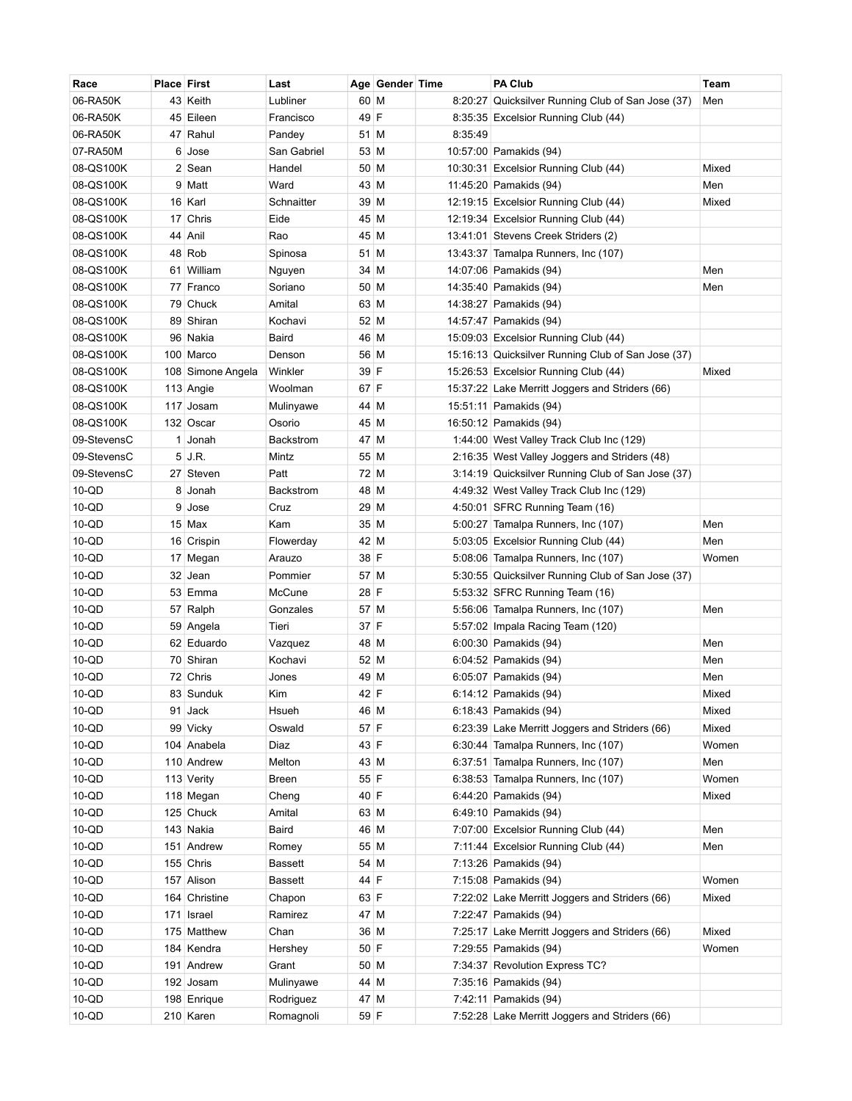| 60 M<br>06-RA50K<br>43 Keith<br>Lubliner<br>8:20:27 Quicksilver Running Club of San Jose (37)<br>Men<br>49 F<br>06-RA50K<br>45 Eileen<br>8:35:35 Excelsior Running Club (44)<br>Francisco<br>06-RA50K<br>47 Rahul<br>8:35:49<br>Pandey<br>51 M<br>07-RA50M<br>6 Jose<br>San Gabriel<br>53 M<br>10:57:00 Pamakids (94)<br>08-QS100K<br>2 Sean<br>50 M<br>Mixed<br>Handel<br>10:30:31 Excelsior Running Club (44)<br>08-QS100K<br>9 Matt<br>Ward<br>43 M<br>11:45:20 Pamakids (94)<br>Men<br>08-QS100K<br>16 Karl<br>Schnaitter<br>39 M<br>Mixed<br>12:19:15 Excelsior Running Club (44)<br>08-QS100K<br>17 Chris<br>Eide<br>45 M<br>12:19:34 Excelsior Running Club (44)<br>08-QS100K<br>44 Anil<br>45 M<br>13:41:01 Stevens Creek Striders (2)<br>Rao<br>08-QS100K<br>48 Rob<br>51 M<br>Spinosa<br>13:43:37 Tamalpa Runners, Inc (107)<br>08-QS100K<br>61 William<br>Men<br>34 M<br>14:07:06 Pamakids (94)<br>Nguyen<br>08-QS100K<br>14:35:40 Pamakids (94)<br>77 Franco<br>Soriano<br>50 M<br>Men<br>08-QS100K<br>79 Chuck<br>Amital<br>14:38:27 Pamakids (94)<br>63 M<br>08-QS100K<br>89 Shiran<br>52 M<br>14:57:47 Pamakids (94)<br>Kochavi<br>08-QS100K<br>96 Nakia<br>Baird<br>46 M<br>15:09:03 Excelsior Running Club (44)<br>08-QS100K<br>56 M<br>15:16:13 Quicksilver Running Club of San Jose (37)<br>100 Marco<br>Denson<br>Winkler<br>39 F<br>15:26:53 Excelsior Running Club (44)<br>Mixed<br>08-QS100K<br>108 Simone Angela<br>67 F<br>08-QS100K<br>113 Angie<br>Woolman<br>15:37:22 Lake Merritt Joggers and Striders (66)<br>15:51:11 Pamakids (94)<br>08-QS100K<br>117 Josam<br>Mulinyawe<br>44 M<br>132 Oscar<br>45 M<br>16:50:12 Pamakids (94)<br>08-QS100K<br>Osorio<br>47 M<br>09-StevensC<br>1<br>Jonah<br><b>Backstrom</b><br>1:44:00 West Valley Track Club Inc (129)<br>09-StevensC<br>5 J.R.<br>55 M<br>Mintz<br>2:16:35 West Valley Joggers and Striders (48)<br>09-StevensC<br>27 Steven<br>Patt<br>72 M<br>3:14:19 Quicksilver Running Club of San Jose (37)<br>$10-QD$<br>48 M<br>8 Jonah<br>Backstrom<br>4:49:32 West Valley Track Club Inc (129)<br>29 M<br>10-QD<br>9<br>4:50:01 SFRC Running Team (16)<br>Jose<br>Cruz<br>$10-QD$<br>$15$ Max<br>35 M<br>Men<br>Kam<br>5:00:27 Tamalpa Runners, Inc (107)<br>$10-QD$<br>42 M<br>16 Crispin<br>Flowerday<br>5:03:05 Excelsior Running Club (44)<br>Men<br>$10-QD$<br>38 F<br>17 Megan<br>Arauzo<br>5:08:06 Tamalpa Runners, Inc (107)<br>Women<br>$10-QD$<br>32 Jean<br>57 M<br>Pommier<br>5:30:55 Quicksilver Running Club of San Jose (37)<br>$10-QD$<br>53 Emma<br>McCune<br>28 F<br>5:53:32 SFRC Running Team (16)<br>$10-QD$<br>57 M<br>5:56:06 Tamalpa Runners, Inc (107)<br>Men<br>57 Ralph<br>Gonzales<br>$10-QD$<br>37 F<br>5:57:02 Impala Racing Team (120)<br>59 Angela<br>Tieri<br>$10-QD$<br>48 M<br>Men<br>62 Eduardo<br>Vazquez<br>6:00:30 Pamakids (94)<br>$10-QD$<br>70 Shiran<br>Kochavi<br>52 M<br>Men<br>6:04:52 Pamakids (94)<br>$10-QD$<br>72 Chris<br>49 M<br>6:05:07 Pamakids (94)<br>Men<br>Jones<br>42 F<br>$10-QD$<br>83 Sunduk<br>Kim<br>6:14:12 Pamakids $(94)$<br>Mixed | Race | <b>Place First</b> | Last | Age Gender Time | <b>PA Club</b> | Team |
|---------------------------------------------------------------------------------------------------------------------------------------------------------------------------------------------------------------------------------------------------------------------------------------------------------------------------------------------------------------------------------------------------------------------------------------------------------------------------------------------------------------------------------------------------------------------------------------------------------------------------------------------------------------------------------------------------------------------------------------------------------------------------------------------------------------------------------------------------------------------------------------------------------------------------------------------------------------------------------------------------------------------------------------------------------------------------------------------------------------------------------------------------------------------------------------------------------------------------------------------------------------------------------------------------------------------------------------------------------------------------------------------------------------------------------------------------------------------------------------------------------------------------------------------------------------------------------------------------------------------------------------------------------------------------------------------------------------------------------------------------------------------------------------------------------------------------------------------------------------------------------------------------------------------------------------------------------------------------------------------------------------------------------------------------------------------------------------------------------------------------------------------------------------------------------------------------------------------------------------------------------------------------------------------------------------------------------------------------------------------------------------------------------------------------------------------------------------------------------------------------------------------------------------------------------------------------------------------------------------------------------------------------------------------------------------------------------------------------------------------------------------------------------------------------------------------------------------------------------------------------------------------------------------------------------------------------------------------------------------------------------------------------------------------------------------------------------------|------|--------------------|------|-----------------|----------------|------|
|                                                                                                                                                                                                                                                                                                                                                                                                                                                                                                                                                                                                                                                                                                                                                                                                                                                                                                                                                                                                                                                                                                                                                                                                                                                                                                                                                                                                                                                                                                                                                                                                                                                                                                                                                                                                                                                                                                                                                                                                                                                                                                                                                                                                                                                                                                                                                                                                                                                                                                                                                                                                                                                                                                                                                                                                                                                                                                                                                                                                                                                                                       |      |                    |      |                 |                |      |
|                                                                                                                                                                                                                                                                                                                                                                                                                                                                                                                                                                                                                                                                                                                                                                                                                                                                                                                                                                                                                                                                                                                                                                                                                                                                                                                                                                                                                                                                                                                                                                                                                                                                                                                                                                                                                                                                                                                                                                                                                                                                                                                                                                                                                                                                                                                                                                                                                                                                                                                                                                                                                                                                                                                                                                                                                                                                                                                                                                                                                                                                                       |      |                    |      |                 |                |      |
|                                                                                                                                                                                                                                                                                                                                                                                                                                                                                                                                                                                                                                                                                                                                                                                                                                                                                                                                                                                                                                                                                                                                                                                                                                                                                                                                                                                                                                                                                                                                                                                                                                                                                                                                                                                                                                                                                                                                                                                                                                                                                                                                                                                                                                                                                                                                                                                                                                                                                                                                                                                                                                                                                                                                                                                                                                                                                                                                                                                                                                                                                       |      |                    |      |                 |                |      |
|                                                                                                                                                                                                                                                                                                                                                                                                                                                                                                                                                                                                                                                                                                                                                                                                                                                                                                                                                                                                                                                                                                                                                                                                                                                                                                                                                                                                                                                                                                                                                                                                                                                                                                                                                                                                                                                                                                                                                                                                                                                                                                                                                                                                                                                                                                                                                                                                                                                                                                                                                                                                                                                                                                                                                                                                                                                                                                                                                                                                                                                                                       |      |                    |      |                 |                |      |
|                                                                                                                                                                                                                                                                                                                                                                                                                                                                                                                                                                                                                                                                                                                                                                                                                                                                                                                                                                                                                                                                                                                                                                                                                                                                                                                                                                                                                                                                                                                                                                                                                                                                                                                                                                                                                                                                                                                                                                                                                                                                                                                                                                                                                                                                                                                                                                                                                                                                                                                                                                                                                                                                                                                                                                                                                                                                                                                                                                                                                                                                                       |      |                    |      |                 |                |      |
|                                                                                                                                                                                                                                                                                                                                                                                                                                                                                                                                                                                                                                                                                                                                                                                                                                                                                                                                                                                                                                                                                                                                                                                                                                                                                                                                                                                                                                                                                                                                                                                                                                                                                                                                                                                                                                                                                                                                                                                                                                                                                                                                                                                                                                                                                                                                                                                                                                                                                                                                                                                                                                                                                                                                                                                                                                                                                                                                                                                                                                                                                       |      |                    |      |                 |                |      |
|                                                                                                                                                                                                                                                                                                                                                                                                                                                                                                                                                                                                                                                                                                                                                                                                                                                                                                                                                                                                                                                                                                                                                                                                                                                                                                                                                                                                                                                                                                                                                                                                                                                                                                                                                                                                                                                                                                                                                                                                                                                                                                                                                                                                                                                                                                                                                                                                                                                                                                                                                                                                                                                                                                                                                                                                                                                                                                                                                                                                                                                                                       |      |                    |      |                 |                |      |
|                                                                                                                                                                                                                                                                                                                                                                                                                                                                                                                                                                                                                                                                                                                                                                                                                                                                                                                                                                                                                                                                                                                                                                                                                                                                                                                                                                                                                                                                                                                                                                                                                                                                                                                                                                                                                                                                                                                                                                                                                                                                                                                                                                                                                                                                                                                                                                                                                                                                                                                                                                                                                                                                                                                                                                                                                                                                                                                                                                                                                                                                                       |      |                    |      |                 |                |      |
|                                                                                                                                                                                                                                                                                                                                                                                                                                                                                                                                                                                                                                                                                                                                                                                                                                                                                                                                                                                                                                                                                                                                                                                                                                                                                                                                                                                                                                                                                                                                                                                                                                                                                                                                                                                                                                                                                                                                                                                                                                                                                                                                                                                                                                                                                                                                                                                                                                                                                                                                                                                                                                                                                                                                                                                                                                                                                                                                                                                                                                                                                       |      |                    |      |                 |                |      |
|                                                                                                                                                                                                                                                                                                                                                                                                                                                                                                                                                                                                                                                                                                                                                                                                                                                                                                                                                                                                                                                                                                                                                                                                                                                                                                                                                                                                                                                                                                                                                                                                                                                                                                                                                                                                                                                                                                                                                                                                                                                                                                                                                                                                                                                                                                                                                                                                                                                                                                                                                                                                                                                                                                                                                                                                                                                                                                                                                                                                                                                                                       |      |                    |      |                 |                |      |
|                                                                                                                                                                                                                                                                                                                                                                                                                                                                                                                                                                                                                                                                                                                                                                                                                                                                                                                                                                                                                                                                                                                                                                                                                                                                                                                                                                                                                                                                                                                                                                                                                                                                                                                                                                                                                                                                                                                                                                                                                                                                                                                                                                                                                                                                                                                                                                                                                                                                                                                                                                                                                                                                                                                                                                                                                                                                                                                                                                                                                                                                                       |      |                    |      |                 |                |      |
|                                                                                                                                                                                                                                                                                                                                                                                                                                                                                                                                                                                                                                                                                                                                                                                                                                                                                                                                                                                                                                                                                                                                                                                                                                                                                                                                                                                                                                                                                                                                                                                                                                                                                                                                                                                                                                                                                                                                                                                                                                                                                                                                                                                                                                                                                                                                                                                                                                                                                                                                                                                                                                                                                                                                                                                                                                                                                                                                                                                                                                                                                       |      |                    |      |                 |                |      |
|                                                                                                                                                                                                                                                                                                                                                                                                                                                                                                                                                                                                                                                                                                                                                                                                                                                                                                                                                                                                                                                                                                                                                                                                                                                                                                                                                                                                                                                                                                                                                                                                                                                                                                                                                                                                                                                                                                                                                                                                                                                                                                                                                                                                                                                                                                                                                                                                                                                                                                                                                                                                                                                                                                                                                                                                                                                                                                                                                                                                                                                                                       |      |                    |      |                 |                |      |
|                                                                                                                                                                                                                                                                                                                                                                                                                                                                                                                                                                                                                                                                                                                                                                                                                                                                                                                                                                                                                                                                                                                                                                                                                                                                                                                                                                                                                                                                                                                                                                                                                                                                                                                                                                                                                                                                                                                                                                                                                                                                                                                                                                                                                                                                                                                                                                                                                                                                                                                                                                                                                                                                                                                                                                                                                                                                                                                                                                                                                                                                                       |      |                    |      |                 |                |      |
|                                                                                                                                                                                                                                                                                                                                                                                                                                                                                                                                                                                                                                                                                                                                                                                                                                                                                                                                                                                                                                                                                                                                                                                                                                                                                                                                                                                                                                                                                                                                                                                                                                                                                                                                                                                                                                                                                                                                                                                                                                                                                                                                                                                                                                                                                                                                                                                                                                                                                                                                                                                                                                                                                                                                                                                                                                                                                                                                                                                                                                                                                       |      |                    |      |                 |                |      |
|                                                                                                                                                                                                                                                                                                                                                                                                                                                                                                                                                                                                                                                                                                                                                                                                                                                                                                                                                                                                                                                                                                                                                                                                                                                                                                                                                                                                                                                                                                                                                                                                                                                                                                                                                                                                                                                                                                                                                                                                                                                                                                                                                                                                                                                                                                                                                                                                                                                                                                                                                                                                                                                                                                                                                                                                                                                                                                                                                                                                                                                                                       |      |                    |      |                 |                |      |
|                                                                                                                                                                                                                                                                                                                                                                                                                                                                                                                                                                                                                                                                                                                                                                                                                                                                                                                                                                                                                                                                                                                                                                                                                                                                                                                                                                                                                                                                                                                                                                                                                                                                                                                                                                                                                                                                                                                                                                                                                                                                                                                                                                                                                                                                                                                                                                                                                                                                                                                                                                                                                                                                                                                                                                                                                                                                                                                                                                                                                                                                                       |      |                    |      |                 |                |      |
|                                                                                                                                                                                                                                                                                                                                                                                                                                                                                                                                                                                                                                                                                                                                                                                                                                                                                                                                                                                                                                                                                                                                                                                                                                                                                                                                                                                                                                                                                                                                                                                                                                                                                                                                                                                                                                                                                                                                                                                                                                                                                                                                                                                                                                                                                                                                                                                                                                                                                                                                                                                                                                                                                                                                                                                                                                                                                                                                                                                                                                                                                       |      |                    |      |                 |                |      |
|                                                                                                                                                                                                                                                                                                                                                                                                                                                                                                                                                                                                                                                                                                                                                                                                                                                                                                                                                                                                                                                                                                                                                                                                                                                                                                                                                                                                                                                                                                                                                                                                                                                                                                                                                                                                                                                                                                                                                                                                                                                                                                                                                                                                                                                                                                                                                                                                                                                                                                                                                                                                                                                                                                                                                                                                                                                                                                                                                                                                                                                                                       |      |                    |      |                 |                |      |
|                                                                                                                                                                                                                                                                                                                                                                                                                                                                                                                                                                                                                                                                                                                                                                                                                                                                                                                                                                                                                                                                                                                                                                                                                                                                                                                                                                                                                                                                                                                                                                                                                                                                                                                                                                                                                                                                                                                                                                                                                                                                                                                                                                                                                                                                                                                                                                                                                                                                                                                                                                                                                                                                                                                                                                                                                                                                                                                                                                                                                                                                                       |      |                    |      |                 |                |      |
|                                                                                                                                                                                                                                                                                                                                                                                                                                                                                                                                                                                                                                                                                                                                                                                                                                                                                                                                                                                                                                                                                                                                                                                                                                                                                                                                                                                                                                                                                                                                                                                                                                                                                                                                                                                                                                                                                                                                                                                                                                                                                                                                                                                                                                                                                                                                                                                                                                                                                                                                                                                                                                                                                                                                                                                                                                                                                                                                                                                                                                                                                       |      |                    |      |                 |                |      |
|                                                                                                                                                                                                                                                                                                                                                                                                                                                                                                                                                                                                                                                                                                                                                                                                                                                                                                                                                                                                                                                                                                                                                                                                                                                                                                                                                                                                                                                                                                                                                                                                                                                                                                                                                                                                                                                                                                                                                                                                                                                                                                                                                                                                                                                                                                                                                                                                                                                                                                                                                                                                                                                                                                                                                                                                                                                                                                                                                                                                                                                                                       |      |                    |      |                 |                |      |
|                                                                                                                                                                                                                                                                                                                                                                                                                                                                                                                                                                                                                                                                                                                                                                                                                                                                                                                                                                                                                                                                                                                                                                                                                                                                                                                                                                                                                                                                                                                                                                                                                                                                                                                                                                                                                                                                                                                                                                                                                                                                                                                                                                                                                                                                                                                                                                                                                                                                                                                                                                                                                                                                                                                                                                                                                                                                                                                                                                                                                                                                                       |      |                    |      |                 |                |      |
|                                                                                                                                                                                                                                                                                                                                                                                                                                                                                                                                                                                                                                                                                                                                                                                                                                                                                                                                                                                                                                                                                                                                                                                                                                                                                                                                                                                                                                                                                                                                                                                                                                                                                                                                                                                                                                                                                                                                                                                                                                                                                                                                                                                                                                                                                                                                                                                                                                                                                                                                                                                                                                                                                                                                                                                                                                                                                                                                                                                                                                                                                       |      |                    |      |                 |                |      |
|                                                                                                                                                                                                                                                                                                                                                                                                                                                                                                                                                                                                                                                                                                                                                                                                                                                                                                                                                                                                                                                                                                                                                                                                                                                                                                                                                                                                                                                                                                                                                                                                                                                                                                                                                                                                                                                                                                                                                                                                                                                                                                                                                                                                                                                                                                                                                                                                                                                                                                                                                                                                                                                                                                                                                                                                                                                                                                                                                                                                                                                                                       |      |                    |      |                 |                |      |
|                                                                                                                                                                                                                                                                                                                                                                                                                                                                                                                                                                                                                                                                                                                                                                                                                                                                                                                                                                                                                                                                                                                                                                                                                                                                                                                                                                                                                                                                                                                                                                                                                                                                                                                                                                                                                                                                                                                                                                                                                                                                                                                                                                                                                                                                                                                                                                                                                                                                                                                                                                                                                                                                                                                                                                                                                                                                                                                                                                                                                                                                                       |      |                    |      |                 |                |      |
|                                                                                                                                                                                                                                                                                                                                                                                                                                                                                                                                                                                                                                                                                                                                                                                                                                                                                                                                                                                                                                                                                                                                                                                                                                                                                                                                                                                                                                                                                                                                                                                                                                                                                                                                                                                                                                                                                                                                                                                                                                                                                                                                                                                                                                                                                                                                                                                                                                                                                                                                                                                                                                                                                                                                                                                                                                                                                                                                                                                                                                                                                       |      |                    |      |                 |                |      |
|                                                                                                                                                                                                                                                                                                                                                                                                                                                                                                                                                                                                                                                                                                                                                                                                                                                                                                                                                                                                                                                                                                                                                                                                                                                                                                                                                                                                                                                                                                                                                                                                                                                                                                                                                                                                                                                                                                                                                                                                                                                                                                                                                                                                                                                                                                                                                                                                                                                                                                                                                                                                                                                                                                                                                                                                                                                                                                                                                                                                                                                                                       |      |                    |      |                 |                |      |
|                                                                                                                                                                                                                                                                                                                                                                                                                                                                                                                                                                                                                                                                                                                                                                                                                                                                                                                                                                                                                                                                                                                                                                                                                                                                                                                                                                                                                                                                                                                                                                                                                                                                                                                                                                                                                                                                                                                                                                                                                                                                                                                                                                                                                                                                                                                                                                                                                                                                                                                                                                                                                                                                                                                                                                                                                                                                                                                                                                                                                                                                                       |      |                    |      |                 |                |      |
|                                                                                                                                                                                                                                                                                                                                                                                                                                                                                                                                                                                                                                                                                                                                                                                                                                                                                                                                                                                                                                                                                                                                                                                                                                                                                                                                                                                                                                                                                                                                                                                                                                                                                                                                                                                                                                                                                                                                                                                                                                                                                                                                                                                                                                                                                                                                                                                                                                                                                                                                                                                                                                                                                                                                                                                                                                                                                                                                                                                                                                                                                       |      |                    |      |                 |                |      |
|                                                                                                                                                                                                                                                                                                                                                                                                                                                                                                                                                                                                                                                                                                                                                                                                                                                                                                                                                                                                                                                                                                                                                                                                                                                                                                                                                                                                                                                                                                                                                                                                                                                                                                                                                                                                                                                                                                                                                                                                                                                                                                                                                                                                                                                                                                                                                                                                                                                                                                                                                                                                                                                                                                                                                                                                                                                                                                                                                                                                                                                                                       |      |                    |      |                 |                |      |
|                                                                                                                                                                                                                                                                                                                                                                                                                                                                                                                                                                                                                                                                                                                                                                                                                                                                                                                                                                                                                                                                                                                                                                                                                                                                                                                                                                                                                                                                                                                                                                                                                                                                                                                                                                                                                                                                                                                                                                                                                                                                                                                                                                                                                                                                                                                                                                                                                                                                                                                                                                                                                                                                                                                                                                                                                                                                                                                                                                                                                                                                                       |      |                    |      |                 |                |      |
|                                                                                                                                                                                                                                                                                                                                                                                                                                                                                                                                                                                                                                                                                                                                                                                                                                                                                                                                                                                                                                                                                                                                                                                                                                                                                                                                                                                                                                                                                                                                                                                                                                                                                                                                                                                                                                                                                                                                                                                                                                                                                                                                                                                                                                                                                                                                                                                                                                                                                                                                                                                                                                                                                                                                                                                                                                                                                                                                                                                                                                                                                       |      |                    |      |                 |                |      |
|                                                                                                                                                                                                                                                                                                                                                                                                                                                                                                                                                                                                                                                                                                                                                                                                                                                                                                                                                                                                                                                                                                                                                                                                                                                                                                                                                                                                                                                                                                                                                                                                                                                                                                                                                                                                                                                                                                                                                                                                                                                                                                                                                                                                                                                                                                                                                                                                                                                                                                                                                                                                                                                                                                                                                                                                                                                                                                                                                                                                                                                                                       |      |                    |      |                 |                |      |
|                                                                                                                                                                                                                                                                                                                                                                                                                                                                                                                                                                                                                                                                                                                                                                                                                                                                                                                                                                                                                                                                                                                                                                                                                                                                                                                                                                                                                                                                                                                                                                                                                                                                                                                                                                                                                                                                                                                                                                                                                                                                                                                                                                                                                                                                                                                                                                                                                                                                                                                                                                                                                                                                                                                                                                                                                                                                                                                                                                                                                                                                                       |      |                    |      |                 |                |      |
|                                                                                                                                                                                                                                                                                                                                                                                                                                                                                                                                                                                                                                                                                                                                                                                                                                                                                                                                                                                                                                                                                                                                                                                                                                                                                                                                                                                                                                                                                                                                                                                                                                                                                                                                                                                                                                                                                                                                                                                                                                                                                                                                                                                                                                                                                                                                                                                                                                                                                                                                                                                                                                                                                                                                                                                                                                                                                                                                                                                                                                                                                       |      |                    |      |                 |                |      |
| $10-QD$<br>91 Jack<br>Hsueh<br>46 M<br>6:18:43 Pamakids (94)<br>Mixed                                                                                                                                                                                                                                                                                                                                                                                                                                                                                                                                                                                                                                                                                                                                                                                                                                                                                                                                                                                                                                                                                                                                                                                                                                                                                                                                                                                                                                                                                                                                                                                                                                                                                                                                                                                                                                                                                                                                                                                                                                                                                                                                                                                                                                                                                                                                                                                                                                                                                                                                                                                                                                                                                                                                                                                                                                                                                                                                                                                                                 |      |                    |      |                 |                |      |
| $10-QD$<br>99 Vicky<br>57 F<br>Oswald<br>6:23:39 Lake Merritt Joggers and Striders (66)<br>Mixed                                                                                                                                                                                                                                                                                                                                                                                                                                                                                                                                                                                                                                                                                                                                                                                                                                                                                                                                                                                                                                                                                                                                                                                                                                                                                                                                                                                                                                                                                                                                                                                                                                                                                                                                                                                                                                                                                                                                                                                                                                                                                                                                                                                                                                                                                                                                                                                                                                                                                                                                                                                                                                                                                                                                                                                                                                                                                                                                                                                      |      |                    |      |                 |                |      |
| $10-QD$<br>104 Anabela<br>Diaz<br>43 F<br>6:30:44 Tamalpa Runners, Inc (107)<br>Women                                                                                                                                                                                                                                                                                                                                                                                                                                                                                                                                                                                                                                                                                                                                                                                                                                                                                                                                                                                                                                                                                                                                                                                                                                                                                                                                                                                                                                                                                                                                                                                                                                                                                                                                                                                                                                                                                                                                                                                                                                                                                                                                                                                                                                                                                                                                                                                                                                                                                                                                                                                                                                                                                                                                                                                                                                                                                                                                                                                                 |      |                    |      |                 |                |      |
| $10-QD$<br>110 Andrew<br>Melton<br>43 M<br>6:37:51 Tamalpa Runners, Inc (107)<br>Men                                                                                                                                                                                                                                                                                                                                                                                                                                                                                                                                                                                                                                                                                                                                                                                                                                                                                                                                                                                                                                                                                                                                                                                                                                                                                                                                                                                                                                                                                                                                                                                                                                                                                                                                                                                                                                                                                                                                                                                                                                                                                                                                                                                                                                                                                                                                                                                                                                                                                                                                                                                                                                                                                                                                                                                                                                                                                                                                                                                                  |      |                    |      |                 |                |      |
| $10-QD$<br>55 F<br>113 Verity<br>Breen<br>6:38:53 Tamalpa Runners, Inc (107)<br>Women                                                                                                                                                                                                                                                                                                                                                                                                                                                                                                                                                                                                                                                                                                                                                                                                                                                                                                                                                                                                                                                                                                                                                                                                                                                                                                                                                                                                                                                                                                                                                                                                                                                                                                                                                                                                                                                                                                                                                                                                                                                                                                                                                                                                                                                                                                                                                                                                                                                                                                                                                                                                                                                                                                                                                                                                                                                                                                                                                                                                 |      |                    |      |                 |                |      |
| $10-QD$<br>40 F<br>118 Megan<br>6:44:20 Pamakids (94)<br>Mixed<br>Cheng                                                                                                                                                                                                                                                                                                                                                                                                                                                                                                                                                                                                                                                                                                                                                                                                                                                                                                                                                                                                                                                                                                                                                                                                                                                                                                                                                                                                                                                                                                                                                                                                                                                                                                                                                                                                                                                                                                                                                                                                                                                                                                                                                                                                                                                                                                                                                                                                                                                                                                                                                                                                                                                                                                                                                                                                                                                                                                                                                                                                               |      |                    |      |                 |                |      |
| $10-QD$<br>125 Chuck<br>Amital<br>63 M<br>6:49:10 Pamakids (94)                                                                                                                                                                                                                                                                                                                                                                                                                                                                                                                                                                                                                                                                                                                                                                                                                                                                                                                                                                                                                                                                                                                                                                                                                                                                                                                                                                                                                                                                                                                                                                                                                                                                                                                                                                                                                                                                                                                                                                                                                                                                                                                                                                                                                                                                                                                                                                                                                                                                                                                                                                                                                                                                                                                                                                                                                                                                                                                                                                                                                       |      |                    |      |                 |                |      |
| $10-QD$<br>143 Nakia<br>Baird<br>46 M<br>7:07:00 Excelsior Running Club (44)<br>Men                                                                                                                                                                                                                                                                                                                                                                                                                                                                                                                                                                                                                                                                                                                                                                                                                                                                                                                                                                                                                                                                                                                                                                                                                                                                                                                                                                                                                                                                                                                                                                                                                                                                                                                                                                                                                                                                                                                                                                                                                                                                                                                                                                                                                                                                                                                                                                                                                                                                                                                                                                                                                                                                                                                                                                                                                                                                                                                                                                                                   |      |                    |      |                 |                |      |
| $10-QD$<br>151 Andrew<br>Romey<br>55 M<br>7:11:44 Excelsior Running Club (44)<br>Men                                                                                                                                                                                                                                                                                                                                                                                                                                                                                                                                                                                                                                                                                                                                                                                                                                                                                                                                                                                                                                                                                                                                                                                                                                                                                                                                                                                                                                                                                                                                                                                                                                                                                                                                                                                                                                                                                                                                                                                                                                                                                                                                                                                                                                                                                                                                                                                                                                                                                                                                                                                                                                                                                                                                                                                                                                                                                                                                                                                                  |      |                    |      |                 |                |      |
| $10-QD$<br>$155$ Chris<br>Bassett<br>54 M<br>7:13:26 Pamakids (94)                                                                                                                                                                                                                                                                                                                                                                                                                                                                                                                                                                                                                                                                                                                                                                                                                                                                                                                                                                                                                                                                                                                                                                                                                                                                                                                                                                                                                                                                                                                                                                                                                                                                                                                                                                                                                                                                                                                                                                                                                                                                                                                                                                                                                                                                                                                                                                                                                                                                                                                                                                                                                                                                                                                                                                                                                                                                                                                                                                                                                    |      |                    |      |                 |                |      |
| $10-QD$<br>157 Alison<br>Bassett<br>44 F<br>7:15:08 Pamakids (94)<br>Women                                                                                                                                                                                                                                                                                                                                                                                                                                                                                                                                                                                                                                                                                                                                                                                                                                                                                                                                                                                                                                                                                                                                                                                                                                                                                                                                                                                                                                                                                                                                                                                                                                                                                                                                                                                                                                                                                                                                                                                                                                                                                                                                                                                                                                                                                                                                                                                                                                                                                                                                                                                                                                                                                                                                                                                                                                                                                                                                                                                                            |      |                    |      |                 |                |      |
| $10-QD$<br>164 Christine<br>63 F<br>7:22:02 Lake Merritt Joggers and Striders (66)<br>Mixed<br>Chapon                                                                                                                                                                                                                                                                                                                                                                                                                                                                                                                                                                                                                                                                                                                                                                                                                                                                                                                                                                                                                                                                                                                                                                                                                                                                                                                                                                                                                                                                                                                                                                                                                                                                                                                                                                                                                                                                                                                                                                                                                                                                                                                                                                                                                                                                                                                                                                                                                                                                                                                                                                                                                                                                                                                                                                                                                                                                                                                                                                                 |      |                    |      |                 |                |      |
| $10-QD$<br>47 M<br>7:22:47 Pamakids (94)<br>171 Israel<br>Ramirez                                                                                                                                                                                                                                                                                                                                                                                                                                                                                                                                                                                                                                                                                                                                                                                                                                                                                                                                                                                                                                                                                                                                                                                                                                                                                                                                                                                                                                                                                                                                                                                                                                                                                                                                                                                                                                                                                                                                                                                                                                                                                                                                                                                                                                                                                                                                                                                                                                                                                                                                                                                                                                                                                                                                                                                                                                                                                                                                                                                                                     |      |                    |      |                 |                |      |
| $10-QD$<br>175 Matthew<br>36 M<br>7:25:17 Lake Merritt Joggers and Striders (66)<br>Mixed<br>Chan                                                                                                                                                                                                                                                                                                                                                                                                                                                                                                                                                                                                                                                                                                                                                                                                                                                                                                                                                                                                                                                                                                                                                                                                                                                                                                                                                                                                                                                                                                                                                                                                                                                                                                                                                                                                                                                                                                                                                                                                                                                                                                                                                                                                                                                                                                                                                                                                                                                                                                                                                                                                                                                                                                                                                                                                                                                                                                                                                                                     |      |                    |      |                 |                |      |
| $10-QD$<br>184 Kendra<br>50 F<br>7:29:55 Pamakids (94)<br>Women<br>Hershey                                                                                                                                                                                                                                                                                                                                                                                                                                                                                                                                                                                                                                                                                                                                                                                                                                                                                                                                                                                                                                                                                                                                                                                                                                                                                                                                                                                                                                                                                                                                                                                                                                                                                                                                                                                                                                                                                                                                                                                                                                                                                                                                                                                                                                                                                                                                                                                                                                                                                                                                                                                                                                                                                                                                                                                                                                                                                                                                                                                                            |      |                    |      |                 |                |      |
| $10-QD$<br>191 Andrew<br>50 M<br>7:34:37 Revolution Express TC?<br>Grant                                                                                                                                                                                                                                                                                                                                                                                                                                                                                                                                                                                                                                                                                                                                                                                                                                                                                                                                                                                                                                                                                                                                                                                                                                                                                                                                                                                                                                                                                                                                                                                                                                                                                                                                                                                                                                                                                                                                                                                                                                                                                                                                                                                                                                                                                                                                                                                                                                                                                                                                                                                                                                                                                                                                                                                                                                                                                                                                                                                                              |      |                    |      |                 |                |      |
| $10-QD$<br>192 Josam<br>44 M<br>7:35:16 Pamakids (94)<br>Mulinyawe                                                                                                                                                                                                                                                                                                                                                                                                                                                                                                                                                                                                                                                                                                                                                                                                                                                                                                                                                                                                                                                                                                                                                                                                                                                                                                                                                                                                                                                                                                                                                                                                                                                                                                                                                                                                                                                                                                                                                                                                                                                                                                                                                                                                                                                                                                                                                                                                                                                                                                                                                                                                                                                                                                                                                                                                                                                                                                                                                                                                                    |      |                    |      |                 |                |      |
| $10-QD$<br>198 Enrique<br>47 M<br>7:42:11 Pamakids (94)<br>Rodriguez                                                                                                                                                                                                                                                                                                                                                                                                                                                                                                                                                                                                                                                                                                                                                                                                                                                                                                                                                                                                                                                                                                                                                                                                                                                                                                                                                                                                                                                                                                                                                                                                                                                                                                                                                                                                                                                                                                                                                                                                                                                                                                                                                                                                                                                                                                                                                                                                                                                                                                                                                                                                                                                                                                                                                                                                                                                                                                                                                                                                                  |      |                    |      |                 |                |      |
| $10-QD$<br>210 Karen<br>Romagnoli<br>59 F<br>7:52:28 Lake Merritt Joggers and Striders (66)                                                                                                                                                                                                                                                                                                                                                                                                                                                                                                                                                                                                                                                                                                                                                                                                                                                                                                                                                                                                                                                                                                                                                                                                                                                                                                                                                                                                                                                                                                                                                                                                                                                                                                                                                                                                                                                                                                                                                                                                                                                                                                                                                                                                                                                                                                                                                                                                                                                                                                                                                                                                                                                                                                                                                                                                                                                                                                                                                                                           |      |                    |      |                 |                |      |